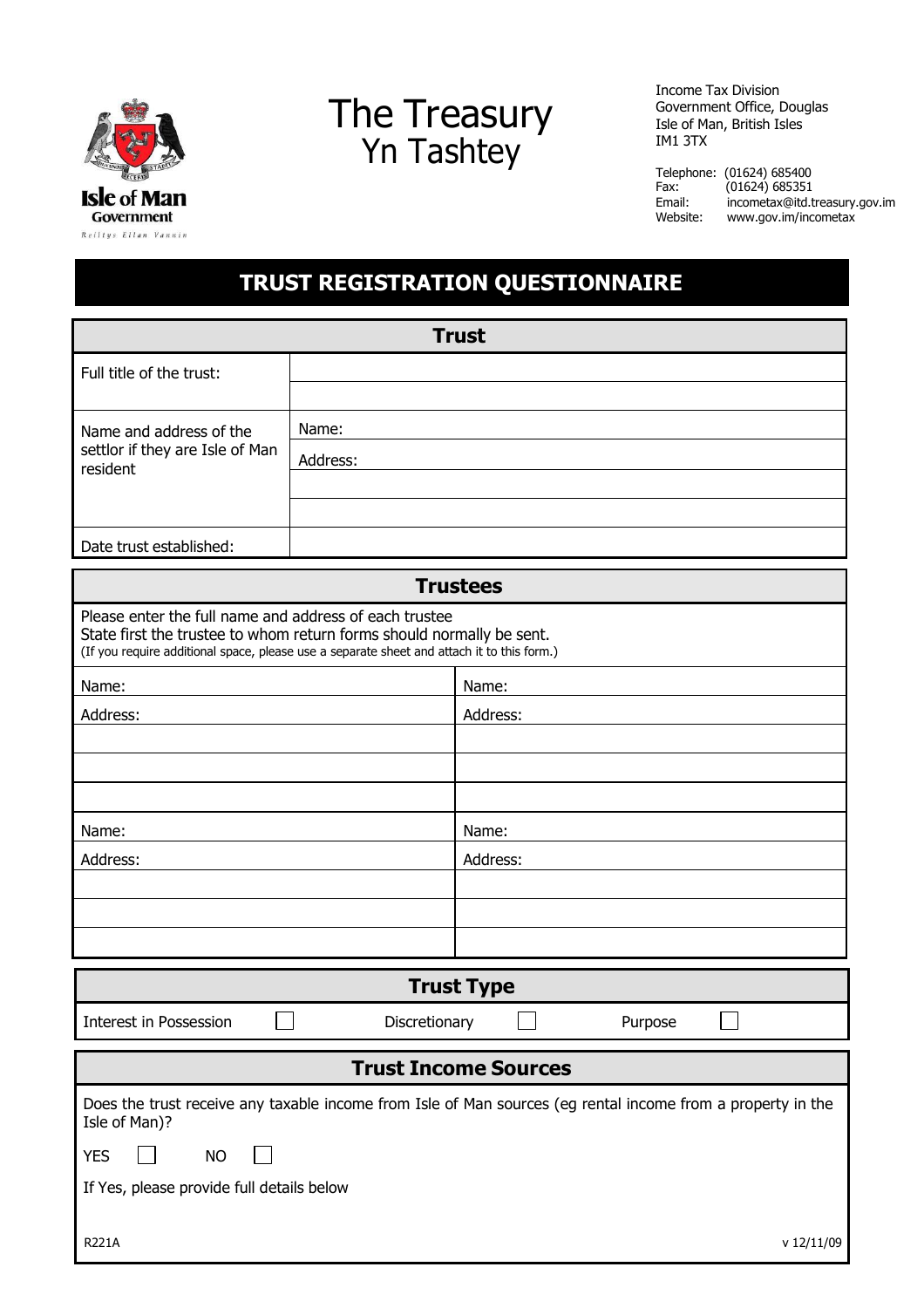

## The Treasury Yn Tashtey

Income Tax Division Government Office, Douglas Isle of Man, British Isles IM1 3TX

Telephone: (01624) 685400<br>Fax: (01624) 685351 Fax: (01624) 685351<br>Email: incometax@itd.t [incometax@itd.treasury.gov.im](mailto:incometax@itd.treasury.gov.im) Website: [www.gov.im/incometax](http://www.gov.im/incometax)

## **TRUST REGISTRATION QUESTIONNAIRE**

| <b>Trust</b>                                                                                                                                                                                                                  |               |          |         |  |  |  |
|-------------------------------------------------------------------------------------------------------------------------------------------------------------------------------------------------------------------------------|---------------|----------|---------|--|--|--|
| Full title of the trust:                                                                                                                                                                                                      |               |          |         |  |  |  |
|                                                                                                                                                                                                                               |               |          |         |  |  |  |
| Name and address of the<br>settlor if they are Isle of Man<br>resident                                                                                                                                                        | Name:         |          |         |  |  |  |
|                                                                                                                                                                                                                               | Address:      |          |         |  |  |  |
|                                                                                                                                                                                                                               |               |          |         |  |  |  |
|                                                                                                                                                                                                                               |               |          |         |  |  |  |
| Date trust established:                                                                                                                                                                                                       |               |          |         |  |  |  |
| <b>Trustees</b>                                                                                                                                                                                                               |               |          |         |  |  |  |
| Please enter the full name and address of each trustee<br>State first the trustee to whom return forms should normally be sent.<br>(If you require additional space, please use a separate sheet and attach it to this form.) |               |          |         |  |  |  |
| Name:                                                                                                                                                                                                                         |               | Name:    |         |  |  |  |
| Address:                                                                                                                                                                                                                      |               | Address: |         |  |  |  |
|                                                                                                                                                                                                                               |               |          |         |  |  |  |
|                                                                                                                                                                                                                               |               |          |         |  |  |  |
|                                                                                                                                                                                                                               |               |          |         |  |  |  |
| Name:                                                                                                                                                                                                                         |               | Name:    |         |  |  |  |
| Address:                                                                                                                                                                                                                      |               | Address: |         |  |  |  |
|                                                                                                                                                                                                                               |               |          |         |  |  |  |
|                                                                                                                                                                                                                               |               |          |         |  |  |  |
| <b>Trust Type</b>                                                                                                                                                                                                             |               |          |         |  |  |  |
| Interest in Possession                                                                                                                                                                                                        | Discretionary |          | Purpose |  |  |  |
| <b>Trust Income Sources</b>                                                                                                                                                                                                   |               |          |         |  |  |  |
| Does the trust receive any taxable income from Isle of Man sources (eg rental income from a property in the<br>Isle of Man)?                                                                                                  |               |          |         |  |  |  |
| <b>YES</b><br><b>NO</b>                                                                                                                                                                                                       |               |          |         |  |  |  |
| If Yes, please provide full details below                                                                                                                                                                                     |               |          |         |  |  |  |
|                                                                                                                                                                                                                               |               |          |         |  |  |  |